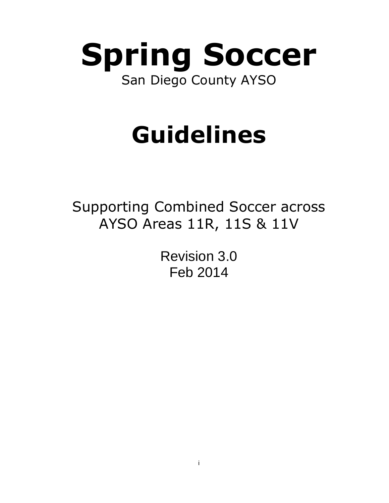

# **Guidelines**

Supporting Combined Soccer across AYSO Areas 11R, 11S & 11V

> Revision 3.0 Feb 2014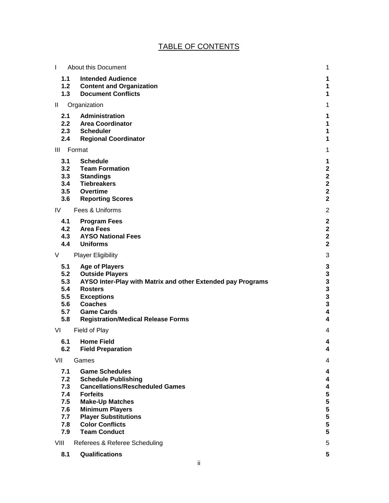# TABLE OF CONTENTS

| $\mathbf{I}$ | About this Document                                                           | 1                                       |
|--------------|-------------------------------------------------------------------------------|-----------------------------------------|
| 1.1          | <b>Intended Audience</b>                                                      | 1                                       |
| 1.3          | 1.2 Content and Organization<br><b>Document Conflicts</b>                     | 1<br>1                                  |
| H.           | Organization                                                                  | 1                                       |
| 2.1          | Administration                                                                | 1                                       |
|              | 2.2 Area Coordinator                                                          | 1                                       |
|              | 2.3 Scheduler                                                                 | 1                                       |
| 2.4          | <b>Regional Coordinator</b>                                                   | 1                                       |
| Ш            | Format                                                                        | 1                                       |
| 3.1          | <b>Schedule</b><br>3.2 Team Formation                                         | 1<br>$\mathbf{2}$                       |
|              | 3.3 Standings                                                                 | $\mathbf 2$                             |
|              | 3.4 Tiebreakers                                                               | $\overline{\mathbf{2}}$                 |
|              | 3.5 Overtime                                                                  | $\overline{\mathbf{2}}$                 |
| 3.6          | <b>Reporting Scores</b>                                                       | $\overline{\mathbf{2}}$                 |
| IV           | Fees & Uniforms                                                               | $\overline{2}$                          |
| 4.1          | <b>Program Fees</b><br>4.2 Area Fees                                          | $\mathbf{2}$<br>$\overline{\mathbf{2}}$ |
|              | 4.3 AYSO National Fees                                                        | $\overline{\mathbf{2}}$                 |
| 4.4          | <b>Uniforms</b>                                                               | $\overline{2}$                          |
| V            | <b>Player Eligibility</b>                                                     | 3                                       |
| 5.1          | <b>Age of Players</b>                                                         | 3                                       |
| 5.2          | <b>Outside Players</b>                                                        | 3                                       |
| 5.3<br>5.4   | AYSO Inter-Play with Matrix and other Extended pay Programs<br><b>Rosters</b> | 3<br>3                                  |
| 5.5          | <b>Exceptions</b>                                                             | 3                                       |
| 5.6          | <b>Coaches</b>                                                                | 3                                       |
| 5.7<br>5.8   | <b>Game Cards</b>                                                             | 4<br>4                                  |
|              | <b>Registration/Medical Release Forms</b>                                     |                                         |
| VI           | Field of Play                                                                 | 4                                       |
| 6.1<br>6.2   | <b>Home Field</b><br><b>Field Preparation</b>                                 | 4<br>4                                  |
| VII          | Games                                                                         | 4                                       |
|              |                                                                               |                                         |
| 7.1<br>7.2   | <b>Game Schedules</b><br><b>Schedule Publishing</b>                           | 4<br>4                                  |
| 7.3          | <b>Cancellations/Rescheduled Games</b>                                        | 4                                       |
| 7.4          | <b>Forfeits</b>                                                               | 5                                       |
| 7.5<br>7.6   | <b>Make-Up Matches</b><br><b>Minimum Players</b>                              | 5<br>5                                  |
| 7.7          | <b>Player Substitutions</b>                                                   | 5                                       |
| 7.8          | <b>Color Conflicts</b>                                                        | 5                                       |
| 7.9          | <b>Team Conduct</b>                                                           | 5                                       |
| VIII         | Referees & Referee Scheduling                                                 | 5                                       |
| 8.1          | Qualifications                                                                | 5                                       |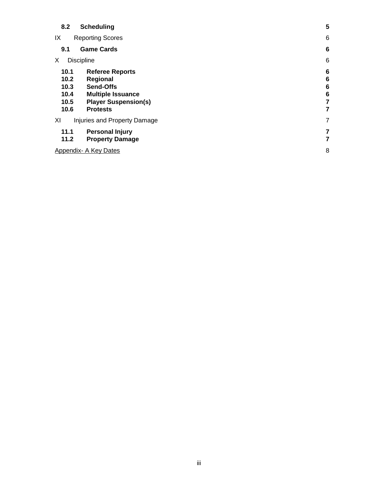| 8.2                                          | <b>Scheduling</b>                                                                                                                    | 5                                        |
|----------------------------------------------|--------------------------------------------------------------------------------------------------------------------------------------|------------------------------------------|
| IX                                           | <b>Reporting Scores</b>                                                                                                              | 6                                        |
| 9.1                                          | <b>Game Cards</b>                                                                                                                    | 6                                        |
| X.                                           | <b>Discipline</b>                                                                                                                    | 6                                        |
| 10.1<br>10.2<br>10.3<br>10.4<br>10.5<br>10.6 | <b>Referee Reports</b><br>Regional<br><b>Send-Offs</b><br><b>Multiple Issuance</b><br><b>Player Suspension(s)</b><br><b>Protests</b> | 6<br>6<br>$6\phantom{1}6$<br>6<br>7<br>7 |
| XI                                           | Injuries and Property Damage                                                                                                         | $\overline{7}$                           |
| 11.1<br>11.2                                 | <b>Personal Injury</b><br><b>Property Damage</b>                                                                                     | 7<br>7                                   |
|                                              | Appendix- A Key Dates                                                                                                                | 8                                        |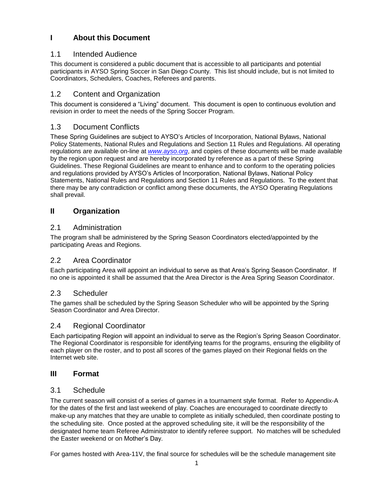# **I About this Document**

# 1.1 Intended Audience

This document is considered a public document that is accessible to all participants and potential participants in AYSO Spring Soccer in San Diego County. This list should include, but is not limited to Coordinators, Schedulers, Coaches, Referees and parents.

# 1.2 Content and Organization

This document is considered a "Living" document. This document is open to continuous evolution and revision in order to meet the needs of the Spring Soccer Program.

# 1.3 Document Conflicts

These Spring Guidelines are subject to AYSO's Articles of Incorporation, National Bylaws, National Policy Statements, National Rules and Regulations and Section 11 Rules and Regulations. All operating regulations are available on-line at *[www.ayso.org](http://www.ayso.org/)*, and copies of these documents will be made available by the region upon request and are hereby incorporated by reference as a part of these Spring Guidelines. These Regional Guidelines are meant to enhance and to conform to the operating policies and regulations provided by AYSO's Articles of Incorporation, National Bylaws, National Policy Statements, National Rules and Regulations and Section 11 Rules and Regulations. To the extent that there may be any contradiction or conflict among these documents, the AYSO Operating Regulations shall prevail.

# **II Organization**

# 2.1 Administration

The program shall be administered by the Spring Season Coordinators elected/appointed by the participating Areas and Regions.

# 2.2 Area Coordinator

Each participating Area will appoint an individual to serve as that Area's Spring Season Coordinator. If no one is appointed it shall be assumed that the Area Director is the Area Spring Season Coordinator.

# 2.3 Scheduler

The games shall be scheduled by the Spring Season Scheduler who will be appointed by the Spring Season Coordinator and Area Director.

# 2.4 Regional Coordinator

Each participating Region will appoint an individual to serve as the Region's Spring Season Coordinator. The Regional Coordinator is responsible for identifying teams for the programs, ensuring the eligibility of each player on the roster, and to post all scores of the games played on their Regional fields on the Internet web site.

# **III Format**

# 3.1 Schedule

The current season will consist of a series of games in a tournament style format. Refer to Appendix-A for the dates of the first and last weekend of play. Coaches are encouraged to coordinate directly to make-up any matches that they are unable to complete as initially scheduled, then coordinate posting to the scheduling site. Once posted at the approved scheduling site, it will be the responsibility of the designated home team Referee Administrator to identify referee support. No matches will be scheduled the Easter weekend or on Mother's Day.

For games hosted with Area-11V, the final source for schedules will be the schedule management site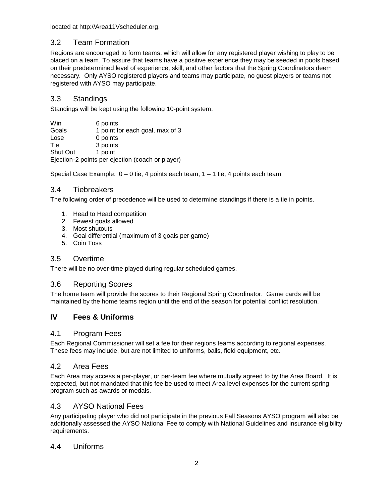located at http://Area11Vscheduler.org.

# 3.2 Team Formation

Regions are encouraged to form teams, which will allow for any registered player wishing to play to be placed on a team. To assure that teams have a positive experience they may be seeded in pools based on their predetermined level of experience, skill, and other factors that the Spring Coordinators deem necessary. Only AYSO registered players and teams may participate, no guest players or teams not registered with AYSO may participate.

# 3.3 Standings

Standings will be kept using the following 10-point system.

| Win                                              | 6 points                        |  |  |
|--------------------------------------------------|---------------------------------|--|--|
| Goals                                            | 1 point for each goal, max of 3 |  |  |
| Lose                                             | 0 points                        |  |  |
| Tie                                              | 3 points                        |  |  |
| <b>Shut Out</b>                                  | 1 point                         |  |  |
| Ejection-2 points per ejection (coach or player) |                                 |  |  |

Special Case Example:  $0 - 0$  tie, 4 points each team,  $1 - 1$  tie, 4 points each team

# 3.4 Tiebreakers

The following order of precedence will be used to determine standings if there is a tie in points.

- 1. Head to Head competition
- 2. Fewest goals allowed
- 3. Most shutouts
- 4. Goal differential (maximum of 3 goals per game)
- 5. Coin Toss

# 3.5 Overtime

There will be no over-time played during regular scheduled games.

# 3.6 Reporting Scores

The home team will provide the scores to their Regional Spring Coordinator. Game cards will be maintained by the home teams region until the end of the season for potential conflict resolution.

# **IV Fees & Uniforms**

#### 4.1 Program Fees

Each Regional Commissioner will set a fee for their regions teams according to regional expenses. These fees may include, but are not limited to uniforms, balls, field equipment, etc.

# 4.2 Area Fees

Each Area may access a per-player, or per-team fee where mutually agreed to by the Area Board. It is expected, but not mandated that this fee be used to meet Area level expenses for the current spring program such as awards or medals.

# 4.3 AYSO National Fees

Any participating player who did not participate in the previous Fall Seasons AYSO program will also be additionally assessed the AYSO National Fee to comply with National Guidelines and insurance eligibility requirements.

# 4.4 Uniforms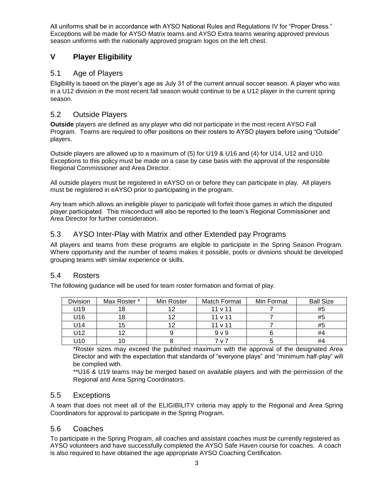All uniforms shall be in accordance with AYSO National Rules and Regulations IV for "Proper Dress." Exceptions will be made for AYSO Matrix teams and AYSO Extra teams wearing approved previous season uniforms with the nationally approved program logos on the left chest.

# **V Player Eligibility**

# 5.1 Age of Players

Eligibility is based on the player's age as July 31 of the current annual soccer season. A player who was in a U12 division in the most recent fall season would continue to be a U12 player in the current spring season.

# 5.2 Outside Players

**Outside** players are defined as any player who did not participate in the most recent AYSO Fall Program. Teams are required to offer positions on their rosters to AYSO players before using "Outside" players.

Outside players are allowed up to a maximum of (5) for U19 & U16 and (4) for U14, U12 and U10. Exceptions to this policy must be made on a case by case basis with the approval of the responsible Regional Commissioner and Area Director.

All outside players must be registered in eAYSO on or before they can participate in play. All players must be registered in eAYSO prior to participating in the program.

Any team which allows an ineligible player to participate will forfeit those games in which the disputed player participated. This misconduct will also be reported to the team's Regional Commissioner and Area Director for further consideration.

# 5.3 AYSO Inter-Play with Matrix and other Extended pay Programs

All players and teams from these programs are eligible to participate in the Spring Season Program. Where opportunity and the number of teams makes it possible, pools or divisions should be developed grouping teams with similar experience or skills.

#### 5.4 Rosters

The following guidance will be used for team roster formation and format of play.

| <b>Division</b> | Max Roster * | Min Roster | Match Format   | Min Format | <b>Ball Size</b> |
|-----------------|--------------|------------|----------------|------------|------------------|
| U19             | 18           |            | 11 v 11        |            | #5               |
| U16             | 18           |            | $11 \vee 11$   |            | #5               |
| U14             | 15           |            | $11 \vee 11$   |            | #5               |
| U12             | 12           |            | 9 <sub>V</sub> |            | #4               |
| U10             | 10           |            | 7 v 7          |            | #4               |

\*Roster sizes may exceed the published maximum with the approval of the designated Area Director and with the expectation that standards of "everyone plays" and "minimum half-play" will be complied with.

\*\*U16 & U19 teams may be merged based on available players and with the permission of the Regional and Area Spring Coordinators.

#### 5.5 Exceptions

A team that does not meet all of the ELIGIBILITY criteria may apply to the Regional and Area Spring Coordinators for approval to participate in the Spring Program.

#### 5.6 Coaches

To participate in the Spring Program, all coaches and assistant coaches must be currently registered as AYSO volunteers and have successfully completed the AYSO Safe Haven course for coaches. A coach is also required to have obtained the age appropriate AYSO Coaching Certification.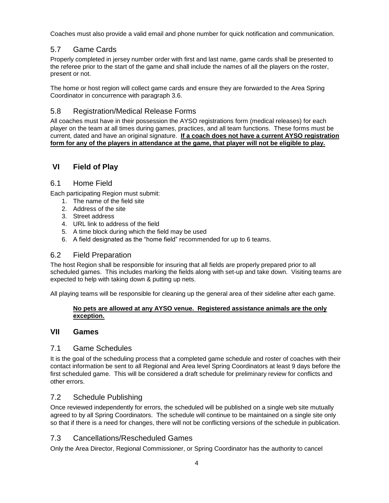Coaches must also provide a valid email and phone number for quick notification and communication.

# 5.7 Game Cards

Properly completed in jersey number order with first and last name, game cards shall be presented to the referee prior to the start of the game and shall include the names of all the players on the roster, present or not.

The home or host region will collect game cards and ensure they are forwarded to the Area Spring Coordinator in concurrence with paragraph 3.6.

# 5.8 Registration/Medical Release Forms

All coaches must have in their possession the AYSO registrations form (medical releases) for each player on the team at all times during games, practices, and all team functions. These forms must be current, dated and have an original signature. **If a coach does not have a current AYSO registration form for any of the players in attendance at the game, that player will not be eligible to play.**

# **VI Field of Play**

#### 6.1 Home Field

Each participating Region must submit:

- 1. The name of the field site
- 2. Address of the site
- 3. Street address
- 4. URL link to address of the field
- 5. A time block during which the field may be used
- 6. A field designated as the "home field" recommended for up to 6 teams.

#### 6.2 Field Preparation

The host Region shall be responsible for insuring that all fields are properly prepared prior to all scheduled games. This includes marking the fields along with set-up and take down. Visiting teams are expected to help with taking down & putting up nets.

All playing teams will be responsible for cleaning up the general area of their sideline after each game.

#### **No pets are allowed at any AYSO venue. Registered assistance animals are the only exception.**

#### **VII Games**

#### 7.1 Game Schedules

It is the goal of the scheduling process that a completed game schedule and roster of coaches with their contact information be sent to all Regional and Area level Spring Coordinators at least 9 days before the first scheduled game. This will be considered a draft schedule for preliminary review for conflicts and other errors.

#### 7.2 Schedule Publishing

Once reviewed independently for errors, the scheduled will be published on a single web site mutually agreed to by all Spring Coordinators. The schedule will continue to be maintained on a single site only so that if there is a need for changes, there will not be conflicting versions of the schedule in publication.

#### 7.3 Cancellations/Rescheduled Games

Only the Area Director, Regional Commissioner, or Spring Coordinator has the authority to cancel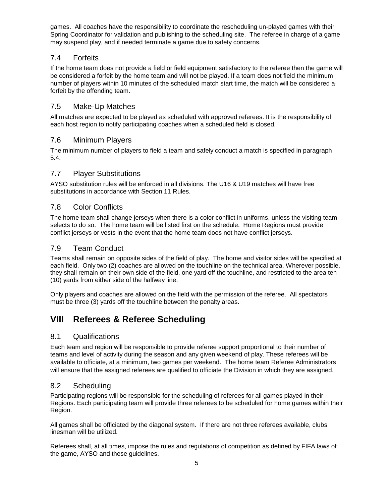games. All coaches have the responsibility to coordinate the rescheduling un-played games with their Spring Coordinator for validation and publishing to the scheduling site. The referee in charge of a game may suspend play, and if needed terminate a game due to safety concerns.

# 7.4 Forfeits

If the home team does not provide a field or field equipment satisfactory to the referee then the game will be considered a forfeit by the home team and will not be played. If a team does not field the minimum number of players within 10 minutes of the scheduled match start time, the match will be considered a forfeit by the offending team.

## 7.5 Make-Up Matches

All matches are expected to be played as scheduled with approved referees. It is the responsibility of each host region to notify participating coaches when a scheduled field is closed.

## 7.6 Minimum Players

The minimum number of players to field a team and safely conduct a match is specified in paragraph 5.4.

## 7.7 Player Substitutions

AYSO substitution rules will be enforced in all divisions. The U16 & U19 matches will have free substitutions in accordance with Section 11 Rules.

#### 7.8 Color Conflicts

The home team shall change jerseys when there is a color conflict in uniforms, unless the visiting team selects to do so. The home team will be listed first on the schedule. Home Regions must provide conflict jerseys or vests in the event that the home team does not have conflict jerseys.

## 7.9 Team Conduct

Teams shall remain on opposite sides of the field of play. The home and visitor sides will be specified at each field. Only two (2) coaches are allowed on the touchline on the technical area. Wherever possible, they shall remain on their own side of the field, one yard off the touchline, and restricted to the area ten (10) yards from either side of the halfway line.

Only players and coaches are allowed on the field with the permission of the referee. All spectators must be three (3) yards off the touchline between the penalty areas.

# **VIII Referees & Referee Scheduling**

#### 8.1 Qualifications

Each team and region will be responsible to provide referee support proportional to their number of teams and level of activity during the season and any given weekend of play. These referees will be available to officiate, at a minimum, two games per weekend. The home team Referee Administrators will ensure that the assigned referees are qualified to officiate the Division in which they are assigned.

#### 8.2 Scheduling

Participating regions will be responsible for the scheduling of referees for all games played in their Regions. Each participating team will provide three referees to be scheduled for home games within their Region.

All games shall be officiated by the diagonal system. If there are not three referees available, clubs linesman will be utilized.

Referees shall, at all times, impose the rules and regulations of competition as defined by FIFA laws of the game, AYSO and these guidelines.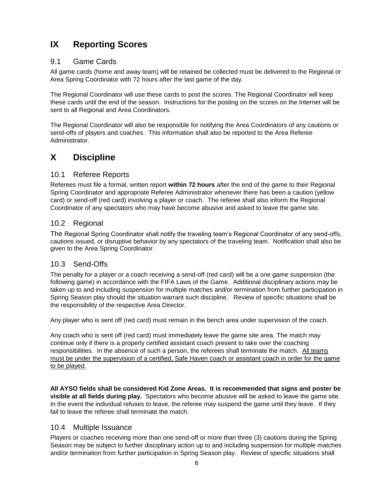# **IX Reporting Scores**

# 9.1 Game Cards

All game cards (home and away team) will be retained be collected must be delivered to the Regional or Area Spring Coordinator with 72 hours after the last game of the day.

The Regional Coordinator will use these cards to post the scores. The Regional Coordinator will keep these cards until the end of the season. Instructions for the posting on the scores on the Internet will be sent to all Regional and Area Coordinators.

The Regional Coordinator will also be responsible for notifying the Area Coordinators of any cautions or send-offs of players and coaches. This information shall also be reported to the Area Referee Administrator.

# **X Discipline**

## 10.1 Referee Reports

Referees must file a formal, written report **within 72 hours** after the end of the game to their Regional Spring Coordinator and appropriate Referee Administrator whenever there has been a caution (yellow card) or send-off (red card) involving a player or coach. The referee shall also inform the Regional Coordinator of any spectators who may have become abusive and asked to leave the game site.

# 10.2 Regional

The Regional Spring Coordinator shall notify the traveling team's Regional Coordinator of any send-offs, cautions issued, or disruptive behavior by any spectators of the traveling team. Notification shall also be given to the Area Spring Coordinator.

# 10.3 Send-Offs

The penalty for a player or a coach receiving a send-off (red card) will be a one game suspension (the following game) in accordance with the FIFA Laws of the Game. Additional disciplinary actions may be taken up to and including suspension for multiple matches and/or termination from further participation in Spring Season play should the situation warrant such discipline. Review of specific situations shall be the responsibility of the respective Area Director.

Any player who is sent off (red card) must remain in the bench area under supervision of the coach.

Any coach who is sent off (red card) must immediately leave the game site area. The match may continue only if there is a properly certified assistant coach present to take over the coaching responsibilities. In the absence of such a person, the referees shall terminate the match. All teams must be under the supervision of a certified, Safe Haven coach or assistant coach in order for the game to be played.

**All AYSO fields shall be considered Kid Zone Areas. It is recommended that signs and poster be visible at all fields during play.** Spectators who become abusive will be asked to leave the game site. In the event the individual refuses to leave, the referee may suspend the game until they leave. If they fail to leave the referee shall terminate the match.

#### 10.4 Multiple Issuance

Players or coaches receiving more than one send-off or more than three (3) cautions during the Spring Season may be subject to further disciplinary action up to and including suspension for multiple matches and/or termination from further participation in Spring Season play. Review of specific situations shall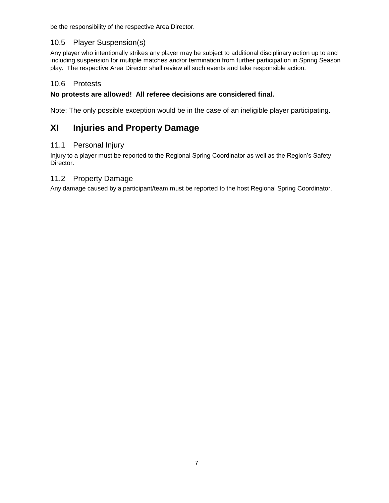be the responsibility of the respective Area Director.

# 10.5 Player Suspension(s)

Any player who intentionally strikes any player may be subject to additional disciplinary action up to and including suspension for multiple matches and/or termination from further participation in Spring Season play. The respective Area Director shall review all such events and take responsible action.

# 10.6 Protests

# **No protests are allowed! All referee decisions are considered final.**

Note: The only possible exception would be in the case of an ineligible player participating.

# **XI Injuries and Property Damage**

## 11.1 Personal Injury

Injury to a player must be reported to the Regional Spring Coordinator as well as the Region's Safety Director.

## 11.2 Property Damage

Any damage caused by a participant/team must be reported to the host Regional Spring Coordinator.